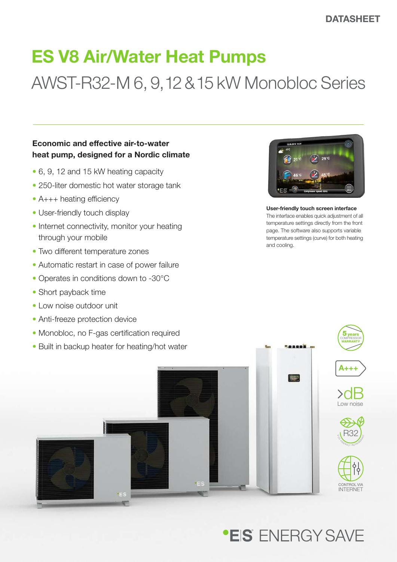# ES V8 Air/Water Heat Pumps

# AWST-R32-M 6, 9, 12 & 15 kW Monobloc Series

### Economic and effective air-to-water heat pump, designed for a Nordic climate

- 6, 9, 12 and 15 kW heating capacity
- 250-liter domestic hot water storage tank
- A+++ heating efficiency
- User-friendly touch display
- Internet connectivity, monitor your heating through your mobile
- Two different temperature zones
- Automatic restart in case of power failure
- Operates in conditions down to -30°C
- Short payback time
- Low noise outdoor unit
- Anti-freeze protection device



User-friendly touch screen interface The interface enables quick adjustment of all temperature settings directly from the front page. The software also supports variable temperature settings (curve) for both heating and cooling.



## **\*EIS** FNFRGY SAVF